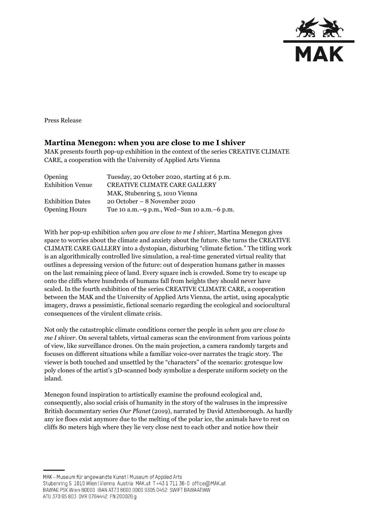

Press Release

## **Martina Menegon: when you are close to me I shiver**

MAK presents fourth pop-up exhibition in the context of the series CREATIVE CLIMATE CARE, a cooperation with the University of Applied Arts Vienna

| Opening                 | Tuesday, 20 October 2020, starting at 6 p.m. |
|-------------------------|----------------------------------------------|
| <b>Exhibition Venue</b> | <b>CREATIVE CLIMATE CARE GALLERY</b>         |
|                         | MAK, Stubenring 5, 1010 Vienna               |
| <b>Exhibition Dates</b> | $20$ October – 8 November 2020               |
| <b>Opening Hours</b>    | Tue 10 a.m. -9 p.m., Wed-Sun 10 a.m. -6 p.m. |

With her pop-up exhibition *when you are close to me I shiver*, Martina Menegon gives space to worries about the climate and anxiety about the future. She turns the CREATIVE CLIMATE CARE GALLERY into a dystopian, disturbing "climate fiction." The titling work is an algorithmically controlled live simulation, a real-time generated virtual reality that outlines a depressing version of the future: out of desperation humans gather in masses on the last remaining piece of land. Every square inch is crowded. Some try to escape up onto the cliffs where hundreds of humans fall from heights they should never have scaled. In the fourth exhibition of the series CREATIVE CLIMATE CARE, a cooperation between the MAK and the University of Applied Arts Vienna, the artist, using apocalyptic imagery, draws a pessimistic, fictional scenario regarding the ecological and sociocultural consequences of the virulent climate crisis.

Not only the catastrophic climate conditions corner the people in *when you are close to me I shiver.* On several tablets, virtual cameras scan the environment from various points of view, like surveillance drones. On the main projection, a camera randomly targets and focuses on different situations while a familiar voice-over narrates the tragic story. The viewer is both touched and unsettled by the "characters" of the scenario: grotesque low poly clones of the artist's 3D-scanned body symbolize a desperate uniform society on the island.

Menegon found inspiration to artistically examine the profound ecological and, consequently, also social crisis of humanity in the story of the walruses in the impressive British documentary series *Our Planet* (2019), narrated by David Attenborough. As hardly any ice floes exist anymore due to the melting of the polar ice, the animals have to rest on cliffs 80 meters high where they lie very close next to each other and notice how their

MAK - Museum für angewandte Kunst | Museum of Applied Arts

Stubenring 5 1010 Wien | Vienna Austria MAK.at T+43 1 711 36-0 office@MAK.at

BAWAG PSK Wien 60000 IBAN AT73 6000 0000 9305 0452 SWIFT BAWAATWW ATU 370 65 803 DVR 0764442 FN 200026 g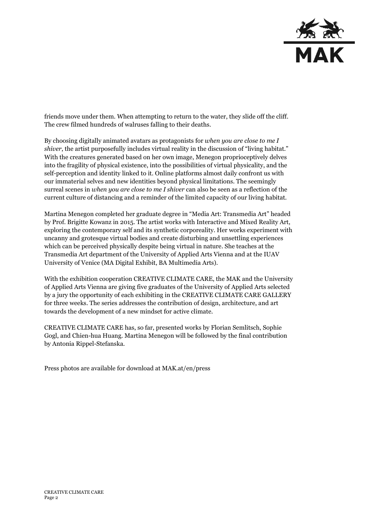

friends move under them. When attempting to return to the water, they slide off the cliff. The crew filmed hundreds of walruses falling to their deaths.

By choosing digitally animated avatars as protagonists for *when you are close to me I shiver*, the artist purposefully includes virtual reality in the discussion of "living habitat." With the creatures generated based on her own image, Menegon proprioceptively delves into the fragility of physical existence, into the possibilities of virtual physicality, and the self-perception and identity linked to it. Online platforms almost daily confront us with our immaterial selves and new identities beyond physical limitations. The seemingly surreal scenes in *when you are close to me I shiver* can also be seen as a reflection of the current culture of distancing and a reminder of the limited capacity of our living habitat.

Martina Menegon completed her graduate degree in "Media Art: Transmedia Art" headed by Prof. Brigitte Kowanz in 2015. The artist works with Interactive and Mixed Reality Art, exploring the contemporary self and its synthetic corporeality. Her works experiment with uncanny and grotesque virtual bodies and create disturbing and unsettling experiences which can be perceived physically despite being virtual in nature. She teaches at the Transmedia Art department of the University of Applied Arts Vienna and at the IUAV University of Venice (MA Digital Exhibit, BA Multimedia Arts).

With the exhibition cooperation CREATIVE CLIMATE CARE, the MAK and the University of Applied Arts Vienna are giving five graduates of the University of Applied Arts selected by a jury the opportunity of each exhibiting in the CREATIVE CLIMATE CARE GALLERY for three weeks. The series addresses the contribution of design, architecture, and art towards the development of a new mindset for active climate.

CREATIVE CLIMATE CARE has, so far, presented works by Florian Semlitsch, Sophie Gogl, and Chien-hua Huang. Martina Menegon will be followed by the final contribution by Antonia Rippel-Stefanska.

Press photos are available for download at MAK.at/en/press